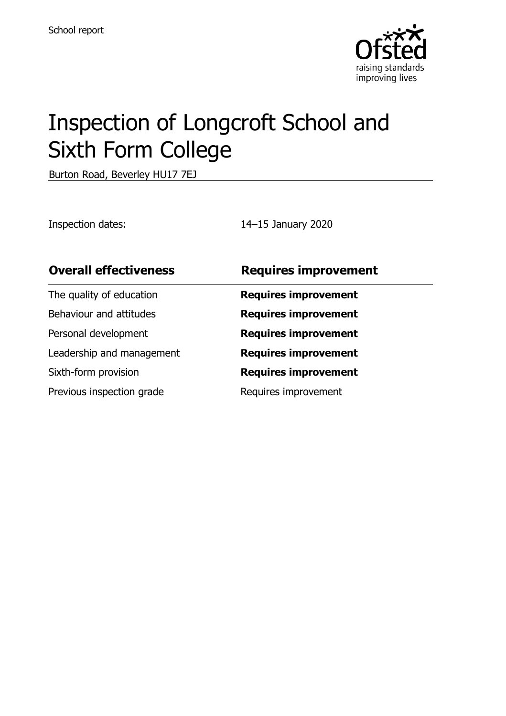

# Inspection of Longcroft School and Sixth Form College

Burton Road, Beverley HU17 7EJ

Inspection dates: 14–15 January 2020

| <b>Overall effectiveness</b> | <b>Requires improvement</b> |
|------------------------------|-----------------------------|
| The quality of education     | <b>Requires improvement</b> |
| Behaviour and attitudes      | <b>Requires improvement</b> |
| Personal development         | <b>Requires improvement</b> |
| Leadership and management    | <b>Requires improvement</b> |
| Sixth-form provision         | <b>Requires improvement</b> |
| Previous inspection grade    | Requires improvement        |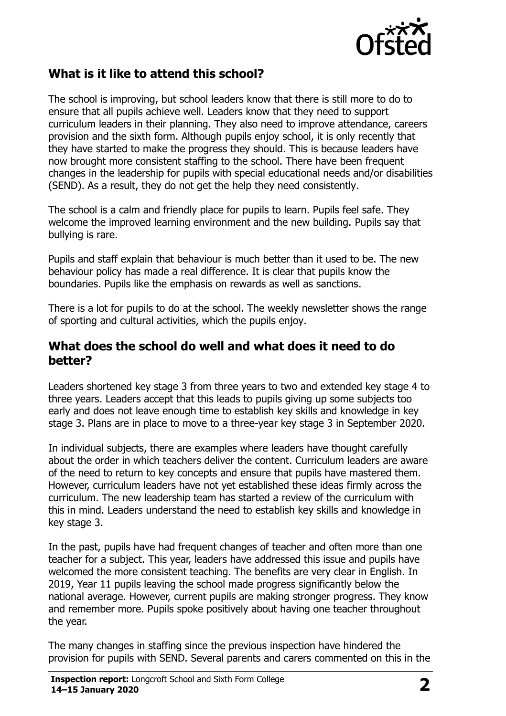

# **What is it like to attend this school?**

The school is improving, but school leaders know that there is still more to do to ensure that all pupils achieve well. Leaders know that they need to support curriculum leaders in their planning. They also need to improve attendance, careers provision and the sixth form. Although pupils enjoy school, it is only recently that they have started to make the progress they should. This is because leaders have now brought more consistent staffing to the school. There have been frequent changes in the leadership for pupils with special educational needs and/or disabilities (SEND). As a result, they do not get the help they need consistently.

The school is a calm and friendly place for pupils to learn. Pupils feel safe. They welcome the improved learning environment and the new building. Pupils say that bullying is rare.

Pupils and staff explain that behaviour is much better than it used to be. The new behaviour policy has made a real difference. It is clear that pupils know the boundaries. Pupils like the emphasis on rewards as well as sanctions.

There is a lot for pupils to do at the school. The weekly newsletter shows the range of sporting and cultural activities, which the pupils enjoy.

#### **What does the school do well and what does it need to do better?**

Leaders shortened key stage 3 from three years to two and extended key stage 4 to three years. Leaders accept that this leads to pupils giving up some subjects too early and does not leave enough time to establish key skills and knowledge in key stage 3. Plans are in place to move to a three-year key stage 3 in September 2020.

In individual subjects, there are examples where leaders have thought carefully about the order in which teachers deliver the content. Curriculum leaders are aware of the need to return to key concepts and ensure that pupils have mastered them. However, curriculum leaders have not yet established these ideas firmly across the curriculum. The new leadership team has started a review of the curriculum with this in mind. Leaders understand the need to establish key skills and knowledge in key stage 3.

In the past, pupils have had frequent changes of teacher and often more than one teacher for a subject. This year, leaders have addressed this issue and pupils have welcomed the more consistent teaching. The benefits are very clear in English. In 2019, Year 11 pupils leaving the school made progress significantly below the national average. However, current pupils are making stronger progress. They know and remember more. Pupils spoke positively about having one teacher throughout the year.

The many changes in staffing since the previous inspection have hindered the provision for pupils with SEND. Several parents and carers commented on this in the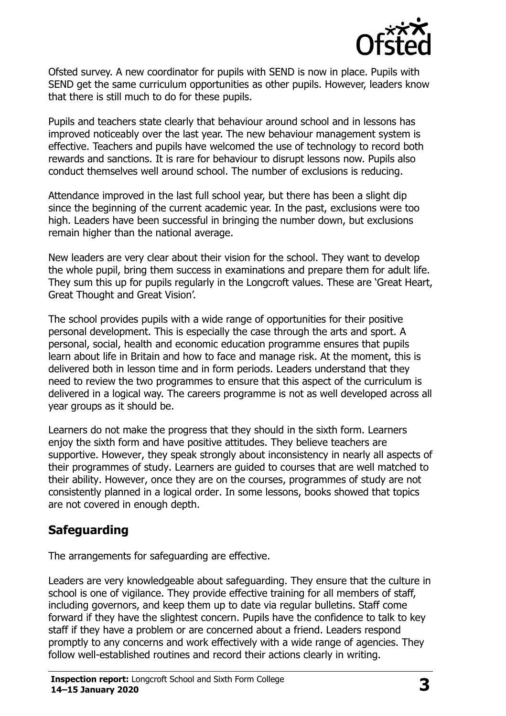

Ofsted survey. A new coordinator for pupils with SEND is now in place. Pupils with SEND get the same curriculum opportunities as other pupils. However, leaders know that there is still much to do for these pupils.

Pupils and teachers state clearly that behaviour around school and in lessons has improved noticeably over the last year. The new behaviour management system is effective. Teachers and pupils have welcomed the use of technology to record both rewards and sanctions. It is rare for behaviour to disrupt lessons now. Pupils also conduct themselves well around school. The number of exclusions is reducing.

Attendance improved in the last full school year, but there has been a slight dip since the beginning of the current academic year. In the past, exclusions were too high. Leaders have been successful in bringing the number down, but exclusions remain higher than the national average.

New leaders are very clear about their vision for the school. They want to develop the whole pupil, bring them success in examinations and prepare them for adult life. They sum this up for pupils regularly in the Longcroft values. These are 'Great Heart, Great Thought and Great Vision'.

The school provides pupils with a wide range of opportunities for their positive personal development. This is especially the case through the arts and sport. A personal, social, health and economic education programme ensures that pupils learn about life in Britain and how to face and manage risk. At the moment, this is delivered both in lesson time and in form periods. Leaders understand that they need to review the two programmes to ensure that this aspect of the curriculum is delivered in a logical way. The careers programme is not as well developed across all year groups as it should be.

Learners do not make the progress that they should in the sixth form. Learners enjoy the sixth form and have positive attitudes. They believe teachers are supportive. However, they speak strongly about inconsistency in nearly all aspects of their programmes of study. Learners are guided to courses that are well matched to their ability. However, once they are on the courses, programmes of study are not consistently planned in a logical order. In some lessons, books showed that topics are not covered in enough depth.

### **Safeguarding**

The arrangements for safeguarding are effective.

Leaders are very knowledgeable about safeguarding. They ensure that the culture in school is one of vigilance. They provide effective training for all members of staff, including governors, and keep them up to date via regular bulletins. Staff come forward if they have the slightest concern. Pupils have the confidence to talk to key staff if they have a problem or are concerned about a friend. Leaders respond promptly to any concerns and work effectively with a wide range of agencies. They follow well-established routines and record their actions clearly in writing.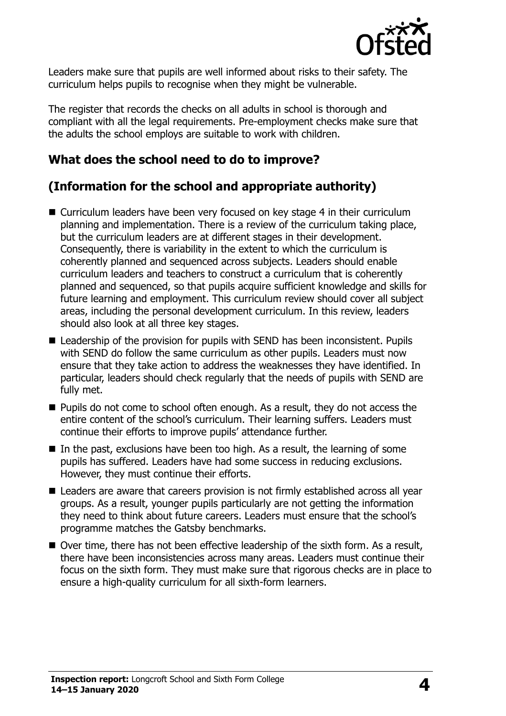

Leaders make sure that pupils are well informed about risks to their safety. The curriculum helps pupils to recognise when they might be vulnerable.

The register that records the checks on all adults in school is thorough and compliant with all the legal requirements. Pre-employment checks make sure that the adults the school employs are suitable to work with children.

# **What does the school need to do to improve?**

# **(Information for the school and appropriate authority)**

- Curriculum leaders have been very focused on key stage 4 in their curriculum planning and implementation. There is a review of the curriculum taking place, but the curriculum leaders are at different stages in their development. Consequently, there is variability in the extent to which the curriculum is coherently planned and sequenced across subjects. Leaders should enable curriculum leaders and teachers to construct a curriculum that is coherently planned and sequenced, so that pupils acquire sufficient knowledge and skills for future learning and employment. This curriculum review should cover all subject areas, including the personal development curriculum. In this review, leaders should also look at all three key stages.
- Leadership of the provision for pupils with SEND has been inconsistent. Pupils with SEND do follow the same curriculum as other pupils. Leaders must now ensure that they take action to address the weaknesses they have identified. In particular, leaders should check regularly that the needs of pupils with SEND are fully met.
- **Pupils do not come to school often enough. As a result, they do not access the** entire content of the school's curriculum. Their learning suffers. Leaders must continue their efforts to improve pupils' attendance further.
- In the past, exclusions have been too high. As a result, the learning of some pupils has suffered. Leaders have had some success in reducing exclusions. However, they must continue their efforts.
- Leaders are aware that careers provision is not firmly established across all year groups. As a result, younger pupils particularly are not getting the information they need to think about future careers. Leaders must ensure that the school's programme matches the Gatsby benchmarks.
- Over time, there has not been effective leadership of the sixth form. As a result, there have been inconsistencies across many areas. Leaders must continue their focus on the sixth form. They must make sure that rigorous checks are in place to ensure a high-quality curriculum for all sixth-form learners.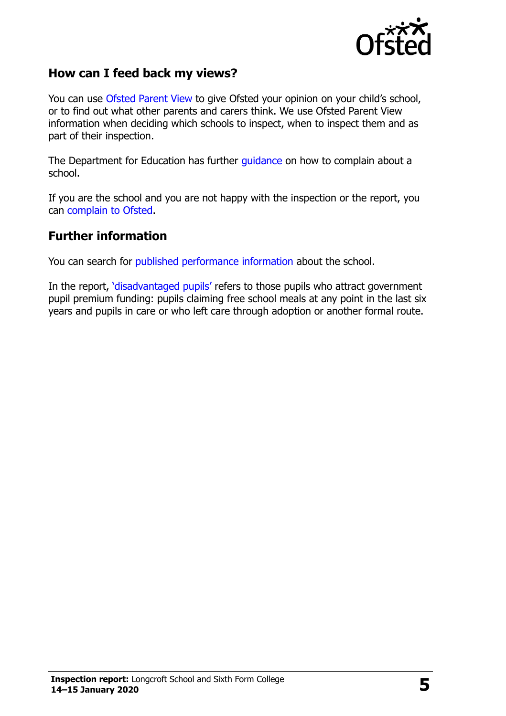

#### **How can I feed back my views?**

You can use [Ofsted Parent View](http://parentview.ofsted.gov.uk/) to give Ofsted your opinion on your child's school, or to find out what other parents and carers think. We use Ofsted Parent View information when deciding which schools to inspect, when to inspect them and as part of their inspection.

The Department for Education has further [guidance](http://www.gov.uk/complain-about-school) on how to complain about a school.

If you are the school and you are not happy with the inspection or the report, you can [complain to Ofsted.](http://www.gov.uk/complain-ofsted-report)

#### **Further information**

You can search for [published performance information](http://www.compare-school-performance.service.gov.uk/) about the school.

In the report, '[disadvantaged pupils](http://www.gov.uk/guidance/pupil-premium-information-for-schools-and-alternative-provision-settings)' refers to those pupils who attract government pupil premium funding: pupils claiming free school meals at any point in the last six years and pupils in care or who left care through adoption or another formal route.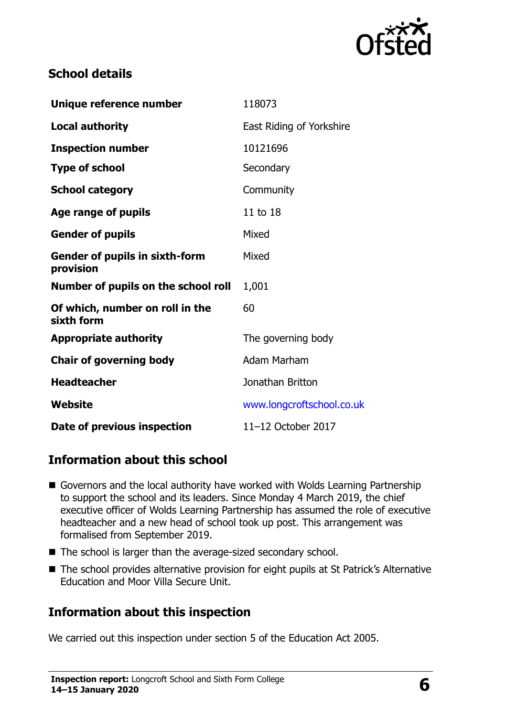

# **School details**

| Unique reference number                            | 118073                    |  |
|----------------------------------------------------|---------------------------|--|
| <b>Local authority</b>                             | East Riding of Yorkshire  |  |
| <b>Inspection number</b>                           | 10121696                  |  |
| <b>Type of school</b>                              | Secondary                 |  |
| <b>School category</b>                             | Community                 |  |
| Age range of pupils                                | 11 to 18                  |  |
| <b>Gender of pupils</b>                            | Mixed                     |  |
| <b>Gender of pupils in sixth-form</b><br>provision | Mixed                     |  |
| Number of pupils on the school roll                | 1,001                     |  |
| Of which, number on roll in the<br>sixth form      | 60                        |  |
| <b>Appropriate authority</b>                       | The governing body        |  |
| <b>Chair of governing body</b>                     | Adam Marham               |  |
| <b>Headteacher</b>                                 | Jonathan Britton          |  |
| Website                                            | www.longcroftschool.co.uk |  |
| Date of previous inspection                        | 11-12 October 2017        |  |

# **Information about this school**

- Governors and the local authority have worked with Wolds Learning Partnership to support the school and its leaders. Since Monday 4 March 2019, the chief executive officer of Wolds Learning Partnership has assumed the role of executive headteacher and a new head of school took up post. This arrangement was formalised from September 2019.
- The school is larger than the average-sized secondary school.
- The school provides alternative provision for eight pupils at St Patrick's Alternative Education and Moor Villa Secure Unit.

# **Information about this inspection**

We carried out this inspection under section 5 of the Education Act 2005.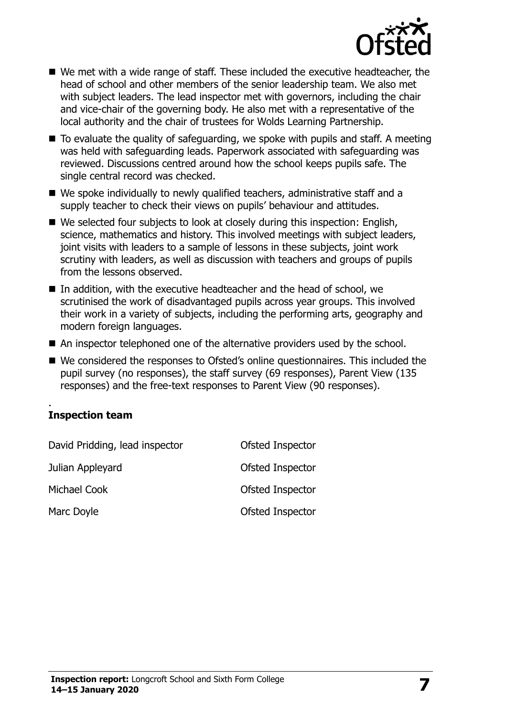

- We met with a wide range of staff. These included the executive headteacher, the head of school and other members of the senior leadership team. We also met with subject leaders. The lead inspector met with governors, including the chair and vice-chair of the governing body. He also met with a representative of the local authority and the chair of trustees for Wolds Learning Partnership.
- $\blacksquare$  To evaluate the quality of safeguarding, we spoke with pupils and staff. A meeting was held with safeguarding leads. Paperwork associated with safeguarding was reviewed. Discussions centred around how the school keeps pupils safe. The single central record was checked.
- We spoke individually to newly qualified teachers, administrative staff and a supply teacher to check their views on pupils' behaviour and attitudes.
- We selected four subjects to look at closely during this inspection: English, science, mathematics and history. This involved meetings with subject leaders, joint visits with leaders to a sample of lessons in these subjects, joint work scrutiny with leaders, as well as discussion with teachers and groups of pupils from the lessons observed.
- In addition, with the executive headteacher and the head of school, we scrutinised the work of disadvantaged pupils across year groups. This involved their work in a variety of subjects, including the performing arts, geography and modern foreign languages.
- An inspector telephoned one of the alternative providers used by the school.
- We considered the responses to Ofsted's online questionnaires. This included the pupil survey (no responses), the staff survey (69 responses), Parent View (135 responses) and the free-text responses to Parent View (90 responses).

#### . **Inspection team**

| David Pridding, lead inspector | Ofsted Inspector |
|--------------------------------|------------------|
| Julian Appleyard               | Ofsted Inspector |
| Michael Cook                   | Ofsted Inspector |
| Marc Doyle                     | Ofsted Inspector |